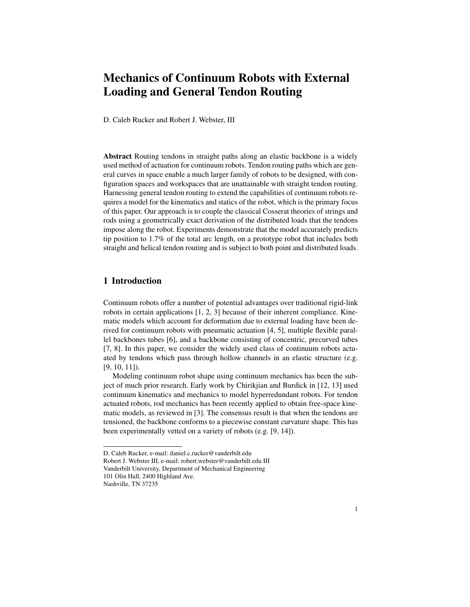# Mechanics of Continuum Robots with External Loading and General Tendon Routing

D. Caleb Rucker and Robert J. Webster, III

Abstract Routing tendons in straight paths along an elastic backbone is a widely used method of actuation for continuum robots. Tendon routing paths which are general curves in space enable a much larger family of robots to be designed, with configuration spaces and workspaces that are unattainable with straight tendon routing. Harnessing general tendon routing to extend the capabilities of continuum robots requires a model for the kinematics and statics of the robot, which is the primary focus of this paper. Our approach is to couple the classical Cosserat theories of strings and rods using a geometrically exact derivation of the distributed loads that the tendons impose along the robot. Experiments demonstrate that the model accurately predicts tip position to 1.7% of the total arc length, on a prototype robot that includes both straight and helical tendon routing and is subject to both point and distributed loads.

## 1 Introduction

Continuum robots offer a number of potential advantages over traditional rigid-link robots in certain applications [1, 2, 3] because of their inherent compliance. Kinematic models which account for deformation due to external loading have been derived for continuum robots with pneumatic actuation [4, 5], multiple flexible parallel backbones tubes [6], and a backbone consisting of concentric, precurved tubes [7, 8]. In this paper, we consider the widely used class of continuum robots actuated by tendons which pass through hollow channels in an elastic structure (e.g. [9, 10, 11]).

Modeling continuum robot shape using continuum mechanics has been the subject of much prior research. Early work by Chirikjian and Burdick in [12, 13] used continuum kinematics and mechanics to model hyperredundant robots. For tendon actuated robots, rod mechanics has been recently applied to obtain free-space kinematic models, as reviewed in [3]. The consensus result is that when the tendons are tensioned, the backbone conforms to a piecewise constant curvature shape. This has been experimentally vetted on a variety of robots (e.g. [9, 14]).

D. Caleb Rucker, e-mail: daniel.c.rucker@vanderbilt.edu

Robert J. Webster III, e-mail: robert.webster@vanderbilt.edu III

Vanderbilt University, Department of Mechanical Engineering

<sup>101</sup> Olin Hall, 2400 Highland Ave.

Nashville, TN 37235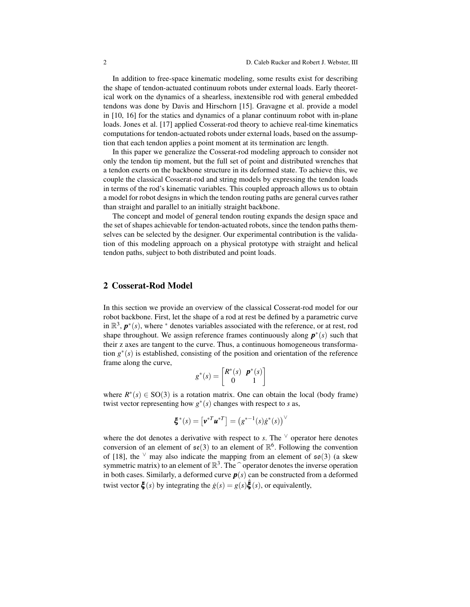In addition to free-space kinematic modeling, some results exist for describing the shape of tendon-actuated continuum robots under external loads. Early theoretical work on the dynamics of a shearless, inextensible rod with general embedded tendons was done by Davis and Hirschorn [15]. Gravagne et al. provide a model in [10, 16] for the statics and dynamics of a planar continuum robot with in-plane loads. Jones et al. [17] applied Cosserat-rod theory to achieve real-time kinematics computations for tendon-actuated robots under external loads, based on the assumption that each tendon applies a point moment at its termination arc length.

In this paper we generalize the Cosserat-rod modeling approach to consider not only the tendon tip moment, but the full set of point and distributed wrenches that a tendon exerts on the backbone structure in its deformed state. To achieve this, we couple the classical Cosserat-rod and string models by expressing the tendon loads in terms of the rod's kinematic variables. This coupled approach allows us to obtain a model for robot designs in which the tendon routing paths are general curves rather than straight and parallel to an initially straight backbone.

The concept and model of general tendon routing expands the design space and the set of shapes achievable for tendon-actuated robots, since the tendon paths themselves can be selected by the designer. Our experimental contribution is the validation of this modeling approach on a physical prototype with straight and helical tendon paths, subject to both distributed and point loads.

#### 2 Cosserat-Rod Model

In this section we provide an overview of the classical Cosserat-rod model for our robot backbone. First, let the shape of a rod at rest be defined by a parametric curve in  $\mathbb{R}^3$ ,  $p^*(s)$ , where <sup>\*</sup> denotes variables associated with the reference, or at rest, rod shape throughout. We assign reference frames continuously along  $p^*(s)$  such that their z axes are tangent to the curve. Thus, a continuous homogeneous transformation *g* ∗ (*s*) is established, consisting of the position and orientation of the reference frame along the curve,

$$
g^*(s) = \begin{bmatrix} R^*(s) & \mathbf{p}^*(s) \\ 0 & 1 \end{bmatrix}
$$

where  $R^*(s) \in SO(3)$  is a rotation matrix. One can obtain the local (body frame) twist vector representing how  $g^*(s)$  changes with respect to *s* as,

$$
\boldsymbol{\xi}^*(s) = \left[\mathbf{v}^{*T}\mathbf{u}^{*T}\right] = \left(g^{*-1}(s)\dot{g}^*(s)\right)^{\vee}
$$

where the dot denotes a derivative with respect to  $s$ . The  $\vee$  operator here denotes conversion of an element of  $\mathfrak{se}(3)$  to an element of  $\mathbb{R}^6$ . Following the convention of [18], the  $\vee$  may also indicate the mapping from an element of  $\mathfrak{so}(3)$  (a skew symmetric matrix) to an element of  $\mathbb{R}^3$ . The  $\hat{ }$  operator denotes the inverse operation<br>in both cases. Similarly, a deformed curve  $\mathbf{n}(s)$  can be constructed from a deformed in both cases. Similarly, a deformed curve  $p(s)$  can be constructed from a deformed twist vector  $\boldsymbol{\xi}(s)$  by integrating the  $\dot{g}(s) = g(s)\hat{\boldsymbol{\xi}}(s)$ , or equivalently,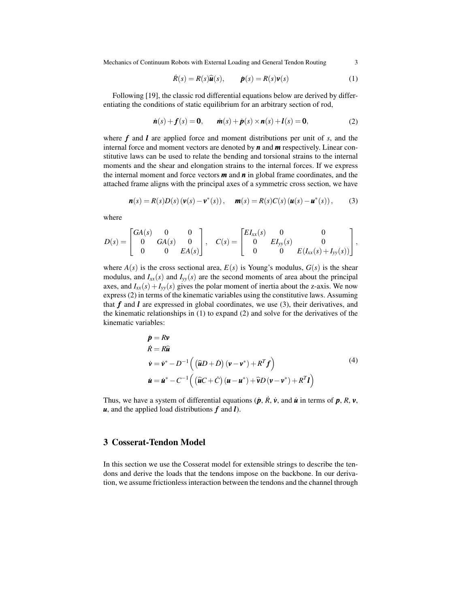Mechanics of Continuum Robots with External Loading and General Tendon Routing 3

$$
\dot{R}(s) = R(s)\hat{\mathbf{u}}(s), \qquad \dot{p}(s) = R(s)\mathbf{v}(s)
$$
 (1)

Following [19], the classic rod differential equations below are derived by differentiating the conditions of static equilibrium for an arbitrary section of rod,

$$
\dot{\boldsymbol{n}}(s) + \boldsymbol{f}(s) = \mathbf{0}, \quad \dot{\boldsymbol{n}}(s) + \dot{\boldsymbol{p}}(s) \times \boldsymbol{n}(s) + \boldsymbol{l}(s) = \mathbf{0}, \tag{2}
$$

where *f* and *l* are applied force and moment distributions per unit of *s*, and the internal force and moment vectors are denoted by *n* and *m* respectively. Linear constitutive laws can be used to relate the bending and torsional strains to the internal moments and the shear and elongation strains to the internal forces. If we express the internal moment and force vectors *m* and *n* in global frame coordinates, and the attached frame aligns with the principal axes of a symmetric cross section, we have

$$
\mathbf{n}(s) = R(s)D(s)\left(\mathbf{v}(s) - \mathbf{v}^*(s)\right), \quad \mathbf{m}(s) = R(s)C(s)\left(\mathbf{u}(s) - \mathbf{u}^*(s)\right), \tag{3}
$$

where

$$
D(s) = \begin{bmatrix} GA(s) & 0 & 0 \\ 0 & GA(s) & 0 \\ 0 & 0 & EA(s) \end{bmatrix}, \quad C(s) = \begin{bmatrix} EI_{xx}(s) & 0 & 0 \\ 0 & EI_{yy}(s) & 0 \\ 0 & 0 & E(I_{xx}(s) + I_{yy}(s)) \end{bmatrix},
$$

where  $A(s)$  is the cross sectional area,  $E(s)$  is Young's modulus,  $G(s)$  is the shear modulus, and  $I_{xx}(s)$  and  $I_{yy}(s)$  are the second moments of area about the principal axes, and  $I_{xx}(s) + I_{yy}(s)$  gives the polar moment of inertia about the z-axis. We now express (2) in terms of the kinematic variables using the constitutive laws. Assuming that *f* and *l* are expressed in global coordinates, we use (3), their derivatives, and the kinematic relationships in (1) to expand (2) and solve for the derivatives of the kinematic variables:

$$
\dot{\mathbf{p}} = R\mathbf{v}
$$
\n
$$
\dot{\mathbf{R}} = R\hat{\mathbf{u}}
$$
\n
$$
\dot{\mathbf{v}} = \dot{\mathbf{v}}^* - D^{-1} \left( \left( \hat{\mathbf{u}} D + D \right) (\mathbf{v} - \mathbf{v}^*) + R^T \mathbf{f} \right)
$$
\n
$$
\dot{\mathbf{u}} = \dot{\mathbf{u}}^* - C^{-1} \left( \left( \hat{\mathbf{u}} C + \dot{C} \right) (\mathbf{u} - \mathbf{u}^*) + \hat{\mathbf{v}} D (\mathbf{v} - \mathbf{v}^*) + R^T \mathbf{I} \right)
$$
\n(4)

Thus, we have a system of differential equations  $(\dot{p}, \dot{R}, \dot{v})$ , and  $\dot{u}$  in terms of  $p, R, v$ , *u*, and the applied load distributions *f* and *l*).

## 3 Cosserat-Tendon Model

In this section we use the Cosserat model for extensible strings to describe the tendons and derive the loads that the tendons impose on the backbone. In our derivation, we assume frictionless interaction between the tendons and the channel through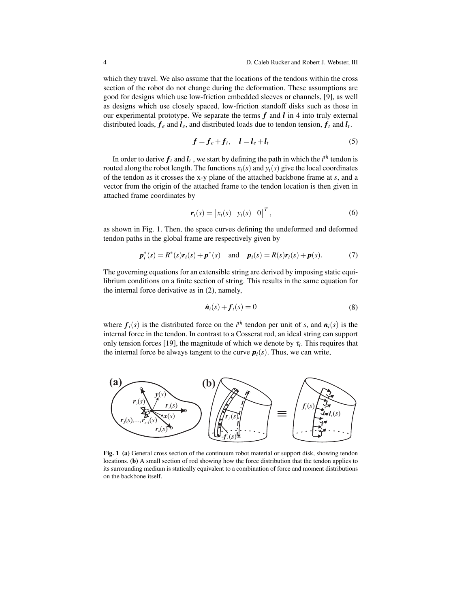which they travel. We also assume that the locations of the tendons within the cross section of the robot do not change during the deformation. These assumptions are good for designs which use low-friction embedded sleeves or channels, [9], as well as designs which use closely spaced, low-friction standoff disks such as those in our experimental prototype. We separate the terms  $f$  and  $l$  in 4 into truly external distributed loads,  $f_e$  and  $l_e$ , and distributed loads due to tendon tension,  $f_t$  and  $l_t$ .

$$
\boldsymbol{f} = \boldsymbol{f}_e + \boldsymbol{f}_t, \quad \boldsymbol{l} = \boldsymbol{l}_e + \boldsymbol{l}_t \tag{5}
$$

In order to derive  $f_t$  and  $l_t$  , we start by defining the path in which the  $i^{th}$  tendon is routed along the robot length. The functions  $x_i(s)$  and  $y_i(s)$  give the local coordinates of the tendon as it crosses the x-y plane of the attached backbone frame at *s*, and a vector from the origin of the attached frame to the tendon location is then given in attached frame coordinates by

$$
\boldsymbol{r}_i(s) = \begin{bmatrix} x_i(s) & y_i(s) & 0 \end{bmatrix}^T, \tag{6}
$$

as shown in Fig. 1. Then, the space curves defining the undeformed and deformed tendon paths in the global frame are respectively given by

$$
\boldsymbol{p}_i^*(s) = R^*(s)\boldsymbol{r}_i(s) + \boldsymbol{p}^*(s) \quad \text{and} \quad \boldsymbol{p}_i(s) = R(s)\boldsymbol{r}_i(s) + \boldsymbol{p}(s). \tag{7}
$$

The governing equations for an extensible string are derived by imposing static equilibrium conditions on a finite section of string. This results in the same equation for the internal force derivative as in (2), namely,

$$
\dot{\boldsymbol{n}}_i(s) + \boldsymbol{f}_i(s) = 0 \tag{8}
$$

where  $f_i(s)$  is the distributed force on the *i*<sup>th</sup> tendon per unit of *s*, and  $n_i(s)$  is the internal force in the tendon. In contrast to a Cosserat rod, an ideal string can support only tension forces [19], the magnitude of which we denote by  $\tau_i$ . This requires that the internal force be always tangent to the curve  $p_i(s)$ . Thus, we can write,



Fig. 1 (a) General cross section of the continuum robot material or support disk, showing tendon locations. (b) A small section of rod showing how the force distribution that the tendon applies to its surrounding medium is statically equivalent to a combination of force and moment distributions on the backbone itself.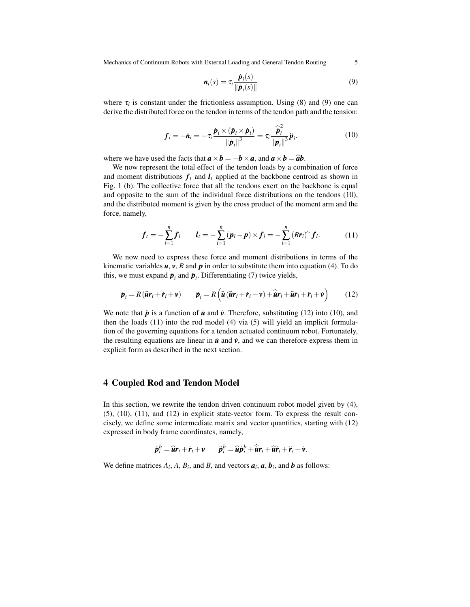Mechanics of Continuum Robots with External Loading and General Tendon Routing 5

$$
\mathbf{n}_i(s) = \tau_i \frac{\dot{\mathbf{p}}_i(s)}{\|\dot{\mathbf{p}}_i(s)\|} \tag{9}
$$

where  $\tau_i$  is constant under the frictionless assumption. Using (8) and (9) one can derive the distributed force on the tendon in terms of the tendon path and the tension:

$$
\boldsymbol{f}_i = -\boldsymbol{n}_i = -\tau_i \frac{\boldsymbol{p}_i \times (\boldsymbol{p}_i \times \boldsymbol{p}_i)}{\|\boldsymbol{p}_i\|^3} = \tau_i \frac{\widehat{\boldsymbol{p}}_i^2}{\|\boldsymbol{p}_i\|^3} \boldsymbol{p}_i.
$$
 (10)

where we have used the facts that  $\mathbf{a} \times \mathbf{b} = -\mathbf{b} \times \mathbf{a}$ , and  $\mathbf{a} \times \mathbf{b} = \hat{\mathbf{a}}\mathbf{b}$ .

We now represent the total effect of the tendon loads by a combination of force and moment distributions  $f_t$  and  $l_t$  applied at the backbone centroid as shown in Fig. 1 (b). The collective force that all the tendons exert on the backbone is equal and opposite to the sum of the individual force distributions on the tendons (10), and the distributed moment is given by the cross product of the moment arm and the force, namely,

$$
\boldsymbol{f}_t = -\sum_{i=1}^n \boldsymbol{f}_i \qquad \boldsymbol{l}_t = -\sum_{i=1}^n (\boldsymbol{p}_i - \boldsymbol{p}) \times \boldsymbol{f}_i = -\sum_{i=1}^n (\boldsymbol{R}\boldsymbol{r}_i)^\frown \boldsymbol{f}_i. \tag{11}
$$

We now need to express these force and moment distributions in terms of the kinematic variables  $u$ ,  $v$ ,  $R$  and  $p$  in order to substitute them into equation (4). To do this, we must expand  $\dot{p}_i$  and  $\ddot{p}_i$ . Differentiating (7) twice yields,

$$
\dot{\boldsymbol{p}}_i = R(\hat{\boldsymbol{u}}\boldsymbol{r}_i + \dot{\boldsymbol{r}}_i + \boldsymbol{v}) \qquad \ddot{\boldsymbol{p}}_i = R(\hat{\boldsymbol{u}}(\hat{\boldsymbol{u}}\boldsymbol{r}_i + \dot{\boldsymbol{r}}_i + \boldsymbol{v}) + \hat{\boldsymbol{u}}\boldsymbol{r}_i + \hat{\boldsymbol{u}}\dot{\boldsymbol{r}}_i + \ddot{\boldsymbol{r}}_i + \dot{\boldsymbol{v}})
$$
(12)

We note that  $\ddot{\mathbf{p}}$  is a function of  $\dot{\mathbf{u}}$  and  $\dot{\mathbf{v}}$ . Therefore, substituting (12) into (10), and then the loads (11) into the rod model (4) via (5) will yield an implicit formulation of the governing equations for a tendon actuated continuum robot. Fortunately, the resulting equations are linear in  $\dot{u}$  and  $\dot{v}$ , and we can therefore express them in explicit form as described in the next section.

## 4 Coupled Rod and Tendon Model

In this section, we rewrite the tendon driven continuum robot model given by (4), (5), (10), (11), and (12) in explicit state-vector form. To express the result concisely, we define some intermediate matrix and vector quantities, starting with (12) expressed in body frame coordinates, namely,

$$
\dot{\boldsymbol{p}}_i^b = \hat{\boldsymbol{u}} \boldsymbol{r}_i + \dot{\boldsymbol{r}}_i + \boldsymbol{v} \qquad \ddot{\boldsymbol{p}}_i^b = \hat{\boldsymbol{u}} \dot{\boldsymbol{p}}_i^b + \hat{\dot{\boldsymbol{u}}} \boldsymbol{r}_i + \hat{\boldsymbol{u}} \dot{\boldsymbol{r}}_i + \ddot{\boldsymbol{r}}_i + \dot{\boldsymbol{v}}.
$$

We define matrices  $A_i$ ,  $A$ ,  $B_i$ , and  $B$ , and vectors  $a_i$ ,  $a$ ,  $b_i$ , and  $b$  as follows: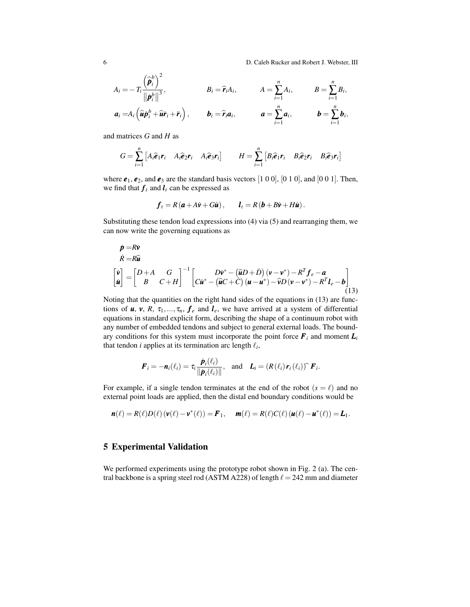6 D. Caleb Rucker and Robert J. Webster, III

$$
A_i = -T_i \frac{\left(\hat{\boldsymbol{p}}_i^b\right)^2}{\left\|\boldsymbol{p}_i^b\right\|^3}, \qquad B_i = \hat{\boldsymbol{r}}_i A_i, \qquad A = \sum_{i=1}^n A_i, \qquad B = \sum_{i=1}^n B_i,
$$
  

$$
\boldsymbol{a}_i = A_i \left(\hat{\boldsymbol{u}} \hat{\boldsymbol{p}}_i^b + \hat{\boldsymbol{u}} \hat{\boldsymbol{r}}_i + \hat{\boldsymbol{r}}_i\right), \qquad \boldsymbol{b}_i = \hat{\boldsymbol{r}}_i \boldsymbol{a}_i, \qquad \boldsymbol{a} = \sum_{i=1}^n \boldsymbol{a}_i, \qquad \boldsymbol{b} = \sum_{i=1}^n \boldsymbol{b}_i,
$$

and matrices *G* and *H* as

$$
G = \sum_{i=1}^{n} \begin{bmatrix} A_i \hat{\boldsymbol{e}}_1 \boldsymbol{r}_i & A_i \hat{\boldsymbol{e}}_2 \boldsymbol{r}_i & A_i \hat{\boldsymbol{e}}_3 \boldsymbol{r}_i \end{bmatrix} \qquad H = \sum_{i=1}^{n} \begin{bmatrix} B_i \hat{\boldsymbol{e}}_1 \boldsymbol{r}_i & B_i \hat{\boldsymbol{e}}_2 \boldsymbol{r}_i & B_i \hat{\boldsymbol{e}}_3 \boldsymbol{r}_i \end{bmatrix}
$$

where  $e_1$ ,  $e_2$ , and  $e_3$  are the standard basis vectors  $[1\ 0\ 0]$ ,  $[0\ 1\ 0]$ , and  $[0\ 0\ 1]$ . Then, we find that  $f_t$  and  $l_t$  can be expressed as

$$
\boldsymbol{f}_t = R(\boldsymbol{a} + A\boldsymbol{\dot{v}} + G\boldsymbol{\dot{u}}), \qquad \boldsymbol{l}_t = R(\boldsymbol{b} + B\boldsymbol{\dot{v}} + H\boldsymbol{\dot{u}}).
$$

Substituting these tendon load expressions into (4) via (5) and rearranging them, we can now write the governing equations as

$$
\dot{p} = R\hat{u}
$$
\n
$$
\dot{R} = R\hat{u}
$$
\n
$$
\begin{bmatrix} \dot{v} \\ \dot{u} \end{bmatrix} = \begin{bmatrix} D+A & G \\ B & C+H \end{bmatrix}^{-1} \begin{bmatrix} D\dot{v}^* - (\hat{u}D+\hat{D})(v-v^*) - R^T f_e - a \\ C\dot{u}^* - (\hat{u}C+\hat{C})(u-u^*) - \hat{v}D(v-v^*) - R^T l_e - b \end{bmatrix}
$$
\n(13)

Noting that the quantities on the right hand sides of the equations in (13) are functions of  $u$ ,  $v$ ,  $R$ ,  $\tau_1, \ldots, \tau_n$ ,  $f_e$  and  $l_e$ , we have arrived at a system of differential equations in standard explicit form, describing the shape of a continuum robot with any number of embedded tendons and subject to general external loads. The boundary conditions for this system must incorporate the point force  $\mathbf{F}_i$  and moment  $\mathbf{L}_i$ that tendon *i* applies at its termination arc length  $\ell_i$ ,

$$
\boldsymbol{F}_i = -\boldsymbol{n}_i(\ell_i) = \tau_i \frac{\dot{\boldsymbol{p}}_i(\ell_i)}{\|\dot{\boldsymbol{p}}_i(\ell_i)\|}, \text{ and } \boldsymbol{L}_i = (R(\ell_i)\boldsymbol{r}_i(\ell_i))\hat{\boldsymbol{F}}_i.
$$

For example, if a single tendon terminates at the end of the robot  $(s = \ell)$  and no external point loads are applied, then the distal end boundary conditions would be

$$
\mathbf{n}(\ell) = R(\ell)D(\ell) \left( \mathbf{v}(\ell) - \mathbf{v}^*(\ell) \right) = \mathbf{F}_1, \quad \mathbf{m}(\ell) = R(\ell)C(\ell) \left( \mathbf{u}(\ell) - \mathbf{u}^*(\ell) \right) = \mathbf{L}_1.
$$

## 5 Experimental Validation

We performed experiments using the prototype robot shown in Fig. 2 (a). The central backbone is a spring steel rod (ASTM A228) of length  $\ell = 242$  mm and diameter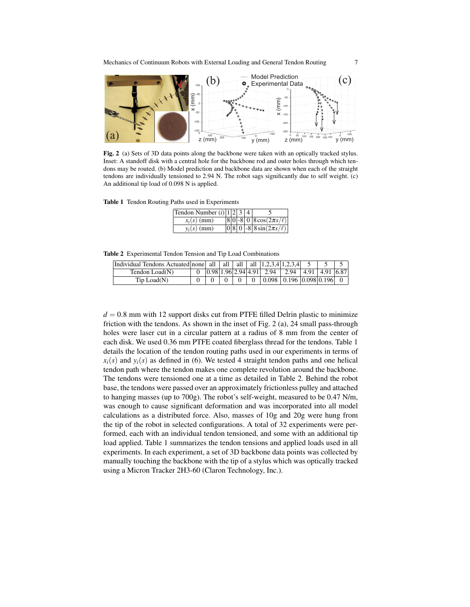

Fig. 2 (a) Sets of 3D data points along the backbone were taken with an optically tracked stylus. Inset: A standoff disk with a central hole for the backbone rod and outer holes through which tendons may be routed. (b) Model prediction and backbone data are shown when each of the straight tendons are individually tensioned to 2.94 N. The robot sags significantly due to self weight. (c) An additional tip load of 0.098 N is applied.

Table 1 Tendon Routing Paths used in Experiments

| Tendon Number $(i)$   1   2   3   4 |  |  |                                     |
|-------------------------------------|--|--|-------------------------------------|
| $x_i(s)$ (mm)                       |  |  | $ 8 0 $ -8 0 $ 8\cos(2\pi s/\ell) $ |
| $y_i(s)$ (mm)                       |  |  | $ 0 8 0 $ -8 8 sin $(2\pi s/\ell)$  |

Table 2 Experimental Tendon Tension and Tip Load Combinations

| Individual Tendons Actuated none   all   all   all   all   1.2.3.4   1.2.3.4 |  |  |                                                 |  |  |
|------------------------------------------------------------------------------|--|--|-------------------------------------------------|--|--|
| Tendon Load(N)                                                               |  |  | $ 0.98 1.96 2.94 4.91 2.94 2.94 4.91 4.91 6.87$ |  |  |
| Tip Load(N)                                                                  |  |  | 0.098   0.196   0.098   0.196                   |  |  |

 $d = 0.8$  mm with 12 support disks cut from PTFE filled Delrin plastic to minimize friction with the tendons. As shown in the inset of Fig. 2 (a), 24 small pass-through holes were laser cut in a circular pattern at a radius of 8 mm from the center of each disk. We used 0.36 mm PTFE coated fiberglass thread for the tendons. Table 1 details the location of the tendon routing paths used in our experiments in terms of  $x_i(s)$  and  $y_i(s)$  as defined in (6). We tested 4 straight tendon paths and one helical tendon path where the tendon makes one complete revolution around the backbone. The tendons were tensioned one at a time as detailed in Table 2. Behind the robot base, the tendons were passed over an approximately frictionless pulley and attached to hanging masses (up to 700g). The robot's self-weight, measured to be 0.47 N/m, was enough to cause significant deformation and was incorporated into all model calculations as a distributed force. Also, masses of 10g and 20g were hung from the tip of the robot in selected configurations. A total of 32 experiments were performed, each with an individual tendon tensioned, and some with an additional tip load applied. Table 1 summarizes the tendon tensions and applied loads used in all experiments. In each experiment, a set of 3D backbone data points was collected by manually touching the backbone with the tip of a stylus which was optically tracked using a Micron Tracker 2H3-60 (Claron Technology, Inc.).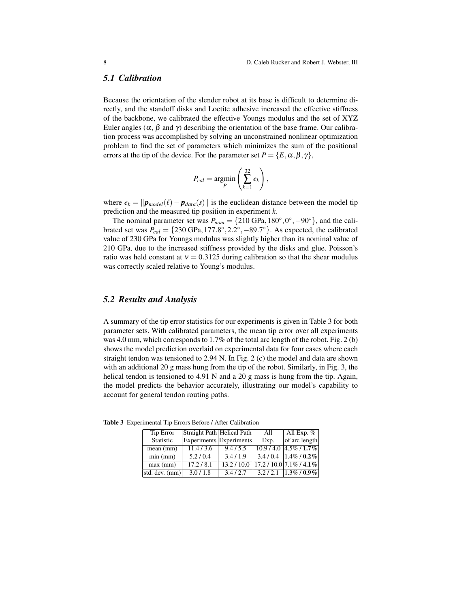#### *5.1 Calibration*

Because the orientation of the slender robot at its base is difficult to determine directly, and the standoff disks and Loctite adhesive increased the effective stiffness of the backbone, we calibrated the effective Youngs modulus and the set of XYZ Euler angles ( $\alpha$ ,  $\beta$  and  $\gamma$ ) describing the orientation of the base frame. Our calibration process was accomplished by solving an unconstrained nonlinear optimization problem to find the set of parameters which minimizes the sum of the positional errors at the tip of the device. For the parameter set  $P = \{E, \alpha, \beta, \gamma\},\$ 

$$
P_{cal} = \underset{P}{\text{argmin}} \left( \sum_{k=1}^{32} e_k \right),
$$

where  $e_k = ||\mathbf{p}_{model}(\ell) - \mathbf{p}_{data}(s)||$  is the euclidean distance between the model tip prediction and the measured tip position in experiment *k*.

The nominal parameter set was  $P_{nom} = \{210 \text{ GPa}, 180^{\circ}, 0^{\circ}, -90^{\circ}\}\$ , and the calibrated set was  $P_{cal} = \{230 \text{ GPa}, 177.8^{\circ}, 2.2^{\circ}, -89.7^{\circ}\}\.$  As expected, the calibrated value of 230 GPa for Youngs modulus was slightly higher than its nominal value of 210 GPa, due to the increased stiffness provided by the disks and glue. Poisson's ratio was held constant at  $v = 0.3125$  during calibration so that the shear modulus was correctly scaled relative to Young's modulus.

## *5.2 Results and Analysis*

A summary of the tip error statistics for our experiments is given in Table 3 for both parameter sets. With calibrated parameters, the mean tip error over all experiments was 4.0 mm, which corresponds to  $1.7\%$  of the total arc length of the robot. Fig. 2 (b) shows the model prediction overlaid on experimental data for four cases where each straight tendon was tensioned to 2.94 N. In Fig. 2 (c) the model and data are shown with an additional 20 g mass hung from the tip of the robot. Similarly, in Fig. 3, the helical tendon is tensioned to 4.91 N and a 20 g mass is hung from the tip. Again, the model predicts the behavior accurately, illustrating our model's capability to account for general tendon routing paths.

Tip Error Straight Path Helical Path All All Exp.  $%$ Statistic | Experiments | Experiments | Exp. | of arc length mean (mm)  $11.4 / 3.6$  9.4/5.5 10.9/4.0 4.5% / 1.7% min (mm)  $\begin{array}{|c|c|c|c|c|c|c|c|c|} \hline 5.2 / 0.4 & 3.4 / 1.9 & 3.4 / 0.4 & 1.4\% / 0.2\% \hline \end{array}$ max (mm) 17.2 / 8.1 13.2 / 10.0 17.2 / 10.0 7.1% / 4.1% std. dev. (mm)  $\begin{array}{|c|c|c|c|c|c|c|c|} \hline \end{array}$  3.4 / 2.7  $\begin{array}{|c|c|c|c|c|c|} \hline \end{array}$  3.2 / 2.1  $\begin{array}{|c|c|c|c|c|c|} \hline \end{array}$  3.2 / 2.1  $\begin{array}{|c|c|c|c|c|c|} \hline \end{array}$  3.4 / 0.9%

Table 3 Experimental Tip Errors Before / After Calibration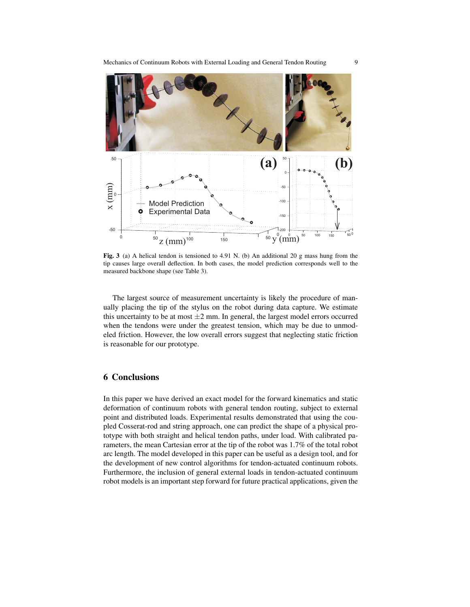

Fig. 3 (a) A helical tendon is tensioned to 4.91 N. (b) An additional 20 g mass hung from the tip causes large overall deflection. In both cases, the model prediction corresponds well to the measured backbone shape (see Table 3).

The largest source of measurement uncertainty is likely the procedure of manually placing the tip of the stylus on the robot during data capture. We estimate this uncertainty to be at most  $\pm 2$  mm. In general, the largest model errors occurred when the tendons were under the greatest tension, which may be due to unmodeled friction. However, the low overall errors suggest that neglecting static friction is reasonable for our prototype.

## 6 Conclusions

In this paper we have derived an exact model for the forward kinematics and static deformation of continuum robots with general tendon routing, subject to external point and distributed loads. Experimental results demonstrated that using the coupled Cosserat-rod and string approach, one can predict the shape of a physical prototype with both straight and helical tendon paths, under load. With calibrated parameters, the mean Cartesian error at the tip of the robot was 1.7% of the total robot arc length. The model developed in this paper can be useful as a design tool, and for the development of new control algorithms for tendon-actuated continuum robots. Furthermore, the inclusion of general external loads in tendon-actuated continuum robot models is an important step forward for future practical applications, given the